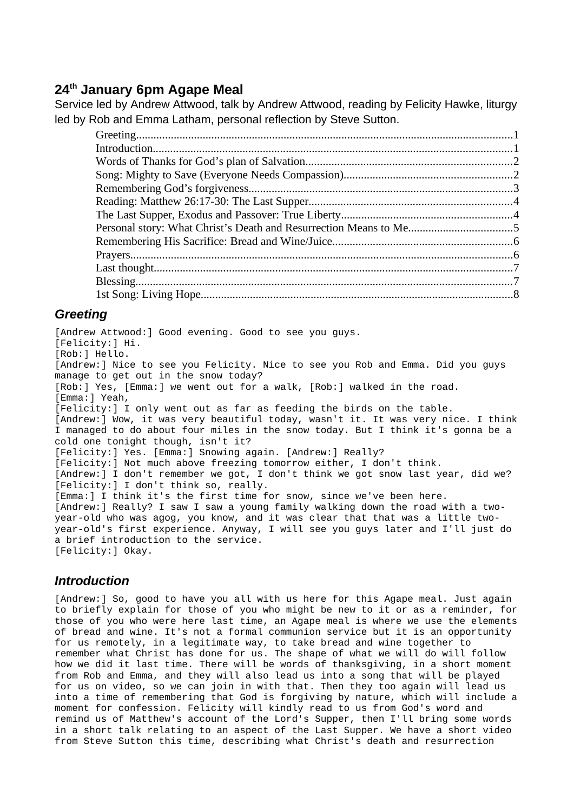## **24th January 6pm Agape Meal**

Service led by Andrew Attwood, talk by Andrew Attwood, reading by Felicity Hawke, liturgy led by Rob and Emma Latham, personal reflection by Steve Sutton.

| Personal story: What Christ's Death and Resurrection Means to Me5 |  |
|-------------------------------------------------------------------|--|
|                                                                   |  |
|                                                                   |  |
|                                                                   |  |
|                                                                   |  |
|                                                                   |  |

## <span id="page-0-0"></span>*Greeting*

[Andrew Attwood:] Good evening. Good to see you guys. [Felicity:] Hi. [Rob:] Hello. [Andrew:] Nice to see you Felicity. Nice to see you Rob and Emma. Did you guys manage to get out in the snow today? [Rob:] Yes, [Emma:] we went out for a walk, [Rob:] walked in the road. [Emma: ] Yeah, [Felicity:] I only went out as far as feeding the birds on the table. [Andrew:] Wow, it was very beautiful today, wasn't it. It was very nice. I think I managed to do about four miles in the snow today. But I think it's gonna be a cold one tonight though, isn't it? [Felicity:] Yes. [Emma:] Snowing again. [Andrew:] Really? [Felicity:] Not much above freezing tomorrow either, I don't think.  $[Andrew:]\bar{I}$  don't remember we got, I don't think we got snow last year, did we? [Felicity:] I don't think so, really. [Emma:] I think it's the first time for snow, since we've been here. [Andrew:] Really? I saw I saw a young family walking down the road with a twoyear-old who was agog, you know, and it was clear that that was a little twoyear-old's first experience. Anyway, I will see you guys later and I'll just do a brief introduction to the service. [Felicity:] Okay.

### <span id="page-0-1"></span>*Introduction*

[Andrew:] So, good to have you all with us here for this Agape meal. Just again to briefly explain for those of you who might be new to it or as a reminder, for those of you who were here last time, an Agape meal is where we use the elements of bread and wine. It's not a formal communion service but it is an opportunity for us remotely, in a legitimate way, to take bread and wine together to remember what Christ has done for us. The shape of what we will do will follow how we did it last time. There will be words of thanksgiving, in a short moment from Rob and Emma, and they will also lead us into a song that will be played for us on video, so we can join in with that. Then they too again will lead us into a time of remembering that God is forgiving by nature, which will include a moment for confession. Felicity will kindly read to us from God's word and remind us of Matthew's account of the Lord's Supper, then I'll bring some words in a short talk relating to an aspect of the Last Supper. We have a short video from Steve Sutton this time, describing what Christ's death and resurrection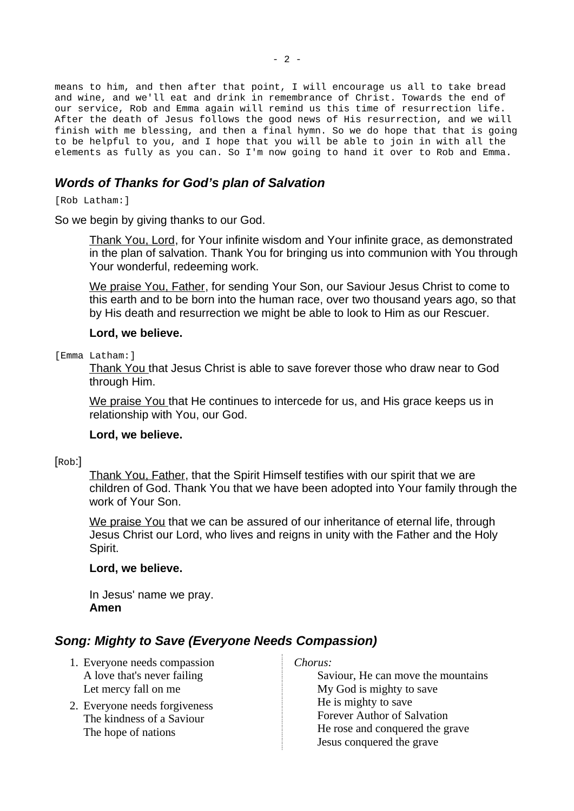means to him, and then after that point, I will encourage us all to take bread and wine, and we'll eat and drink in remembrance of Christ. Towards the end of our service, Rob and Emma again will remind us this time of resurrection life. After the death of Jesus follows the good news of His resurrection, and we will finish with me blessing, and then a final hymn. So we do hope that that is going to be helpful to you, and I hope that you will be able to join in with all the elements as fully as you can. So I'm now going to hand it over to Rob and Emma.

## <span id="page-1-1"></span>*Words of Thanks for God's plan of Salvation*

[Rob Latham:]

So we begin by giving thanks to our God.

Thank You, Lord, for Your infinite wisdom and Your infinite grace, as demonstrated in the plan of salvation. Thank You for bringing us into communion with You through Your wonderful, redeeming work.

We praise You, Father, for sending Your Son, our Saviour Jesus Christ to come to this earth and to be born into the human race, over two thousand years ago, so that by His death and resurrection we might be able to look to Him as our Rescuer.

#### **Lord, we believe.**

[Emma Latham:]

Thank You that Jesus Christ is able to save forever those who draw near to God through Him.

We praise You that He continues to intercede for us, and His grace keeps us in relationship with You, our God.

### **Lord, we believe.**

#### [Rob:]

Thank You, Father, that the Spirit Himself testifies with our spirit that we are children of God. Thank You that we have been adopted into Your family through the work of Your Son.

We praise You that we can be assured of our inheritance of eternal life, through Jesus Christ our Lord, who lives and reigns in unity with the Father and the Holy Spirit.

#### **Lord, we believe.**

In Jesus' name we pray. **Amen**

## <span id="page-1-0"></span>*Song: Mighty to Save (Everyone Needs Compassion)*

- 1. Everyone needs compassion A love that's never failing Let mercy fall on me
- 2. Everyone needs forgiveness The kindness of a Saviour The hope of nations

*Chorus:*

Saviour, He can move the mountains My God is mighty to save He is mighty to save Forever Author of Salvation He rose and conquered the grave Jesus conquered the grave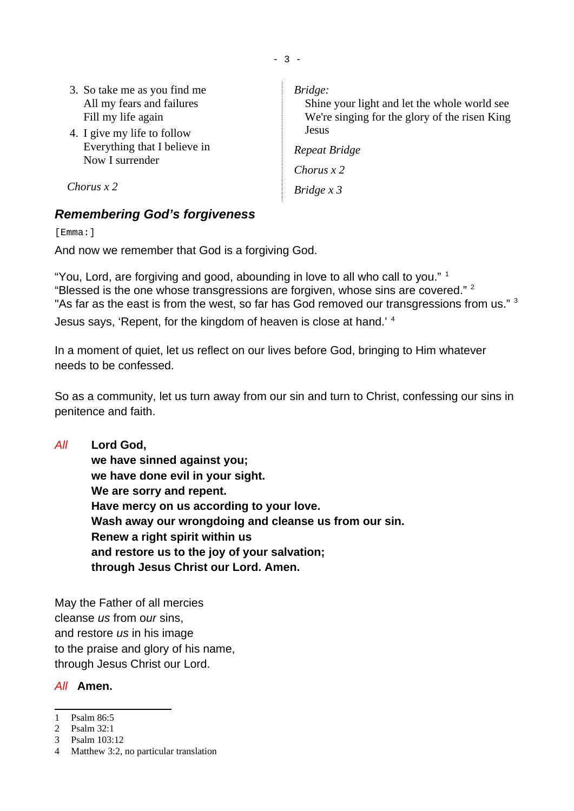| 3. So take me as you find me<br>All my fears and failures<br>Fill my life again<br>4. I give my life to follow<br>Everything that I believe in<br>Now I surrender | Bridge:<br>Shine your light and let the whole world see<br>We're singing for the glory of the risen King<br>Jesus |
|-------------------------------------------------------------------------------------------------------------------------------------------------------------------|-------------------------------------------------------------------------------------------------------------------|
|                                                                                                                                                                   | Repeat Bridge<br>Chorus $x$ 2                                                                                     |
| Chorus $x$ 2                                                                                                                                                      | Bridge $x$ 3                                                                                                      |

- 3 -

## <span id="page-2-0"></span>*Remembering God's forgiveness*

[Emma:]

And now we remember that God is a forgiving God.

"You, Lord, are forgiving and good, abounding in love to all who call to you."<sup>[1](#page-2-1)</sup> "Blessed is the one whose transgressions are forgiven, whose sins are covered." [2](#page-2-2) "As far as the east is from the west, so far has God removed our transgressions from us." [3](#page-2-3)

Jesus says, 'Repent, for the kingdom of heaven is close at hand.' [4](#page-2-4)

In a moment of quiet, let us reflect on our lives before God, bringing to Him whatever needs to be confessed.

So as a community, let us turn away from our sin and turn to Christ, confessing our sins in penitence and faith.

## *All* **Lord God,**

**we have sinned against you; we have done evil in your sight. We are sorry and repent. Have mercy on us according to your love. Wash away our wrongdoing and cleanse us from our sin. Renew a right spirit within us and restore us to the joy of your salvation; through Jesus Christ our Lord. Amen.**

May the Father of all mercies cleanse *us* from o*ur* sins, and restore *us* in his image to the praise and glory of his name, through Jesus Christ our Lord.

*All* **Amen.**

- <span id="page-2-1"></span>1 Psalm 86:5
- <span id="page-2-2"></span>2 Psalm 32:1
- <span id="page-2-3"></span>3 Psalm 103:12
- <span id="page-2-4"></span>4 Matthew 3:2, no particular translation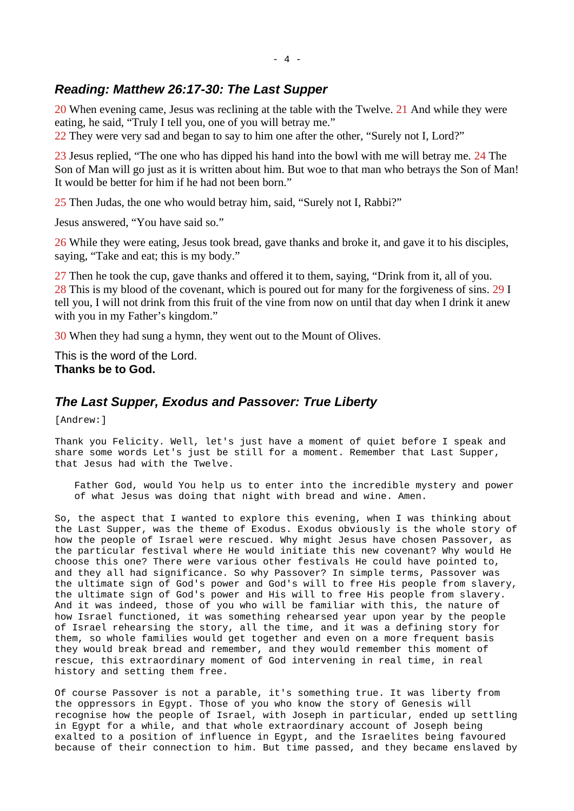## <span id="page-3-1"></span>*Reading: Matthew 26:17-30: The Last Supper*

20 When evening came, Jesus was reclining at the table with the Twelve. 21 And while they were eating, he said, "Truly I tell you, one of you will betray me."

22 They were very sad and began to say to him one after the other, "Surely not I, Lord?"

23 Jesus replied, "The one who has dipped his hand into the bowl with me will betray me. 24 The Son of Man will go just as it is written about him. But woe to that man who betrays the Son of Man! It would be better for him if he had not been born."

25 Then Judas, the one who would betray him, said, "Surely not I, Rabbi?"

Jesus answered, "You have said so."

26 While they were eating, Jesus took bread, gave thanks and broke it, and gave it to his disciples, saying, "Take and eat; this is my body."

27 Then he took the cup, gave thanks and offered it to them, saying, "Drink from it, all of you. 28 This is my blood of the covenant, which is poured out for many for the forgiveness of sins. 29 I tell you, I will not drink from this fruit of the vine from now on until that day when I drink it anew with you in my Father's kingdom."

30 When they had sung a hymn, they went out to the Mount of Olives.

This is the word of the Lord. **Thanks be to God.**

### <span id="page-3-0"></span>*The Last Supper, Exodus and Passover: True Liberty*

[Andrew:]

Thank you Felicity. Well, let's just have a moment of quiet before I speak and share some words Let's just be still for a moment. Remember that Last Supper, that Jesus had with the Twelve.

Father God, would You help us to enter into the incredible mystery and power of what Jesus was doing that night with bread and wine. Amen.

So, the aspect that I wanted to explore this evening, when I was thinking about the Last Supper, was the theme of Exodus. Exodus obviously is the whole story of how the people of Israel were rescued. Why might Jesus have chosen Passover, as the particular festival where He would initiate this new covenant? Why would He choose this one? There were various other festivals He could have pointed to, and they all had significance. So why Passover? In simple terms, Passover was the ultimate sign of God's power and God's will to free His people from slavery, the ultimate sign of God's power and His will to free His people from slavery. And it was indeed, those of you who will be familiar with this, the nature of how Israel functioned, it was something rehearsed year upon year by the people of Israel rehearsing the story, all the time, and it was a defining story for them, so whole families would get together and even on a more frequent basis they would break bread and remember, and they would remember this moment of rescue, this extraordinary moment of God intervening in real time, in real history and setting them free.

Of course Passover is not a parable, it's something true. It was liberty from the oppressors in Egypt. Those of you who know the story of Genesis will recognise how the people of Israel, with Joseph in particular, ended up settling in Egypt for a while, and that whole extraordinary account of Joseph being exalted to a position of influence in Egypt, and the Israelites being favoured because of their connection to him. But time passed, and they became enslaved by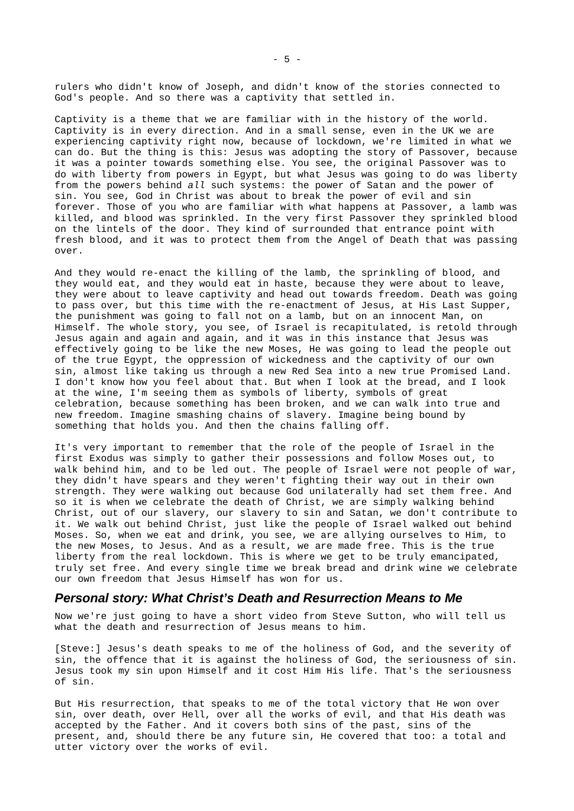rulers who didn't know of Joseph, and didn't know of the stories connected to God's people. And so there was a captivity that settled in.

Captivity is a theme that we are familiar with in the history of the world. Captivity is in every direction. And in a small sense, even in the UK we are experiencing captivity right now, because of lockdown, we're limited in what we can do. But the thing is this: Jesus was adopting the story of Passover, because it was a pointer towards something else. You see, the original Passover was to do with liberty from powers in Egypt, but what Jesus was going to do was liberty from the powers behind *all* such systems: the power of Satan and the power of sin. You see, God in Christ was about to break the power of evil and sin forever. Those of you who are familiar with what happens at Passover, a lamb was killed, and blood was sprinkled. In the very first Passover they sprinkled blood on the lintels of the door. They kind of surrounded that entrance point with fresh blood, and it was to protect them from the Angel of Death that was passing over.

And they would re-enact the killing of the lamb, the sprinkling of blood, and they would eat, and they would eat in haste, because they were about to leave, they were about to leave captivity and head out towards freedom. Death was going to pass over, but this time with the re-enactment of Jesus, at His Last Supper, the punishment was going to fall not on a lamb, but on an innocent Man, on Himself. The whole story, you see, of Israel is recapitulated, is retold through Jesus again and again and again, and it was in this instance that Jesus was effectively going to be like the new Moses, He was going to lead the people out of the true Egypt, the oppression of wickedness and the captivity of our own sin, almost like taking us through a new Red Sea into a new true Promised Land. I don't know how you feel about that. But when I look at the bread, and I look at the wine, I'm seeing them as symbols of liberty, symbols of great celebration, because something has been broken, and we can walk into true and new freedom. Imagine smashing chains of slavery. Imagine being bound by something that holds you. And then the chains falling off.

It's very important to remember that the role of the people of Israel in the first Exodus was simply to gather their possessions and follow Moses out, to walk behind him, and to be led out. The people of Israel were not people of war, they didn't have spears and they weren't fighting their way out in their own strength. They were walking out because God unilaterally had set them free. And so it is when we celebrate the death of Christ, we are simply walking behind Christ, out of our slavery, our slavery to sin and Satan, we don't contribute to it. We walk out behind Christ, just like the people of Israel walked out behind Moses. So, when we eat and drink, you see, we are allying ourselves to Him, to the new Moses, to Jesus. And as a result, we are made free. This is the true liberty from the real lockdown. This is where we get to be truly emancipated, truly set free. And every single time we break bread and drink wine we celebrate our own freedom that Jesus Himself has won for us.

#### <span id="page-4-0"></span>*Personal story: What Christ's Death and Resurrection Means to Me*

Now we're just going to have a short video from Steve Sutton, who will tell us what the death and resurrection of Jesus means to him.

[Steve:] Jesus's death speaks to me of the holiness of God, and the severity of sin, the offence that it is against the holiness of God, the seriousness of sin. Jesus took my sin upon Himself and it cost Him His life. That's the seriousness of sin.

But His resurrection, that speaks to me of the total victory that He won over sin, over death, over Hell, over all the works of evil, and that His death was accepted by the Father. And it covers both sins of the past, sins of the present, and, should there be any future sin, He covered that too: a total and utter victory over the works of evil.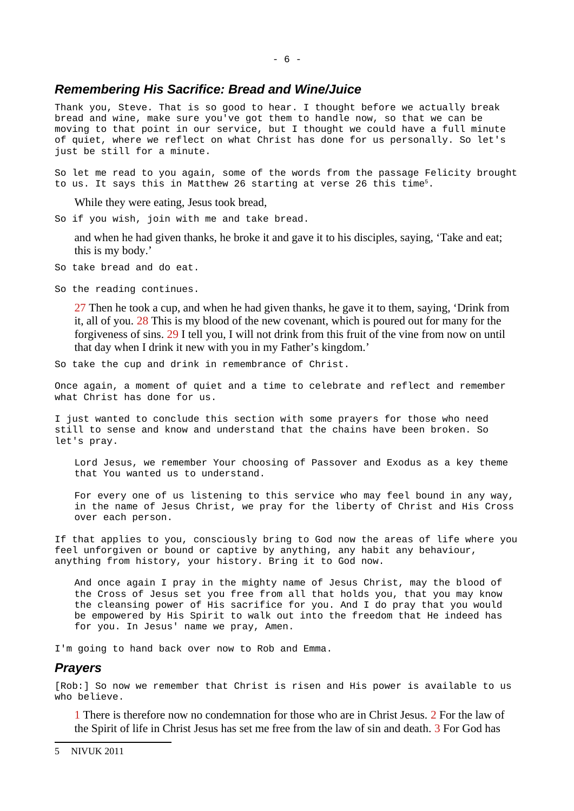#### <span id="page-5-1"></span>*Remembering His Sacrifice: Bread and Wine/Juice*

Thank you, Steve. That is so good to hear. I thought before we actually break bread and wine, make sure you've got them to handle now, so that we can be moving to that point in our service, but I thought we could have a full minute of quiet, where we reflect on what Christ has done for us personally. So let's just be still for a minute.

So let me read to you again, some of the words from the passage Felicity brought to us. It says this in Matthew 26 starting at verse 26 this time<sup>[5](#page-5-2)</sup>.

While they were eating, Jesus took bread,

So if you wish, join with me and take bread.

and when he had given thanks, he broke it and gave it to his disciples, saying, 'Take and eat; this is my body.'

So take bread and do eat.

So the reading continues.

27 Then he took a cup, and when he had given thanks, he gave it to them, saying, 'Drink from it, all of you. 28 This is my blood of the new covenant, which is poured out for many for the forgiveness of sins. 29 I tell you, I will not drink from this fruit of the vine from now on until that day when I drink it new with you in my Father's kingdom.'

So take the cup and drink in remembrance of Christ.

Once again, a moment of quiet and a time to celebrate and reflect and remember what Christ has done for us.

I just wanted to conclude this section with some prayers for those who need still to sense and know and understand that the chains have been broken. So let's pray.

Lord Jesus, we remember Your choosing of Passover and Exodus as a key theme that You wanted us to understand.

For every one of us listening to this service who may feel bound in any way, in the name of Jesus Christ, we pray for the liberty of Christ and His Cross over each person.

If that applies to you, consciously bring to God now the areas of life where you feel unforgiven or bound or captive by anything, any habit any behaviour, anything from history, your history. Bring it to God now.

And once again I pray in the mighty name of Jesus Christ, may the blood of the Cross of Jesus set you free from all that holds you, that you may know the cleansing power of His sacrifice for you. And I do pray that you would be empowered by His Spirit to walk out into the freedom that He indeed has for you. In Jesus' name we pray, Amen.

I'm going to hand back over now to Rob and Emma.

#### <span id="page-5-0"></span>*Prayers*

[Rob:] So now we remember that Christ is risen and His power is available to us who believe.

1 There is therefore now no condemnation for those who are in Christ Jesus. 2 For the law of the Spirit of life in Christ Jesus has set me free from the law of sin and death. 3 For God has

<span id="page-5-2"></span><sup>5</sup> NIVUK 2011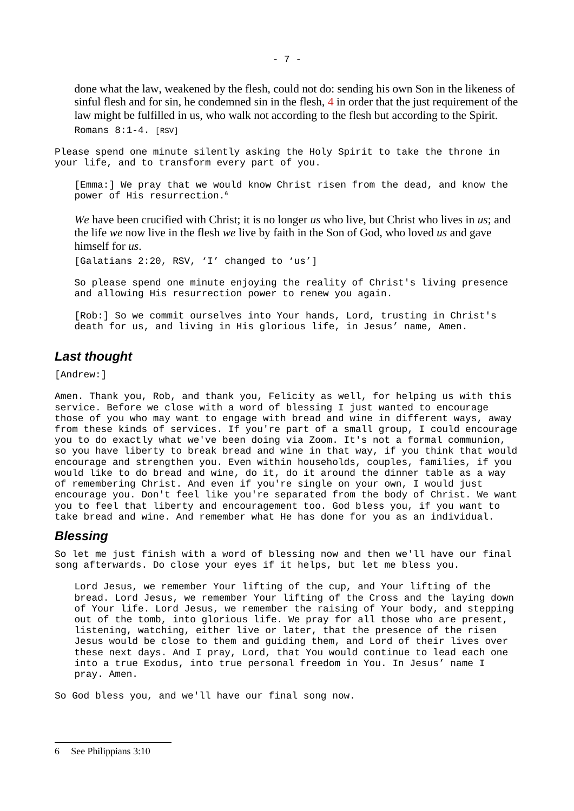done what the law, weakened by the flesh, could not do: sending his own Son in the likeness of sinful flesh and for sin, he condemned sin in the flesh, 4 in order that the just requirement of the law might be fulfilled in us, who walk not according to the flesh but according to the Spirit. Romans 8:1-4. [RSV]

Please spend one minute silently asking the Holy Spirit to take the throne in your life, and to transform every part of you.

[Emma:] We pray that we would know Christ risen from the dead, and know the power of His resurrection.<sup>[6](#page-6-2)</sup>

*We* have been crucified with Christ; it is no longer *us* who live, but Christ who lives in *us*; and the life *we* now live in the flesh *we* live by faith in the Son of God, who loved *us* and gave himself for *us*.

[Galatians 2:20, RSV, 'I' changed to 'us']

So please spend one minute enjoying the reality of Christ's living presence and allowing His resurrection power to renew you again.

[Rob:] So we commit ourselves into Your hands, Lord, trusting in Christ's death for us, and living in His glorious life, in Jesus' name, Amen.

### <span id="page-6-1"></span>*Last thought*

[Andrew:]

Amen. Thank you, Rob, and thank you, Felicity as well, for helping us with this service. Before we close with a word of blessing I just wanted to encourage those of you who may want to engage with bread and wine in different ways, away from these kinds of services. If you're part of a small group, I could encourage you to do exactly what we've been doing via Zoom. It's not a formal communion, so you have liberty to break bread and wine in that way, if you think that would encourage and strengthen you. Even within households, couples, families, if you would like to do bread and wine, do it, do it around the dinner table as a way of remembering Christ. And even if you're single on your own, I would just encourage you. Don't feel like you're separated from the body of Christ. We want you to feel that liberty and encouragement too. God bless you, if you want to take bread and wine. And remember what He has done for you as an individual.

#### <span id="page-6-0"></span>*Blessing*

So let me just finish with a word of blessing now and then we'll have our final song afterwards. Do close your eyes if it helps, but let me bless you.

Lord Jesus, we remember Your lifting of the cup, and Your lifting of the bread. Lord Jesus, we remember Your lifting of the Cross and the laying down of Your life. Lord Jesus, we remember the raising of Your body, and stepping out of the tomb, into glorious life. We pray for all those who are present, listening, watching, either live or later, that the presence of the risen Jesus would be close to them and guiding them, and Lord of their lives over these next days. And I pray, Lord, that You would continue to lead each one into a true Exodus, into true personal freedom in You. In Jesus' name I pray. Amen.

So God bless you, and we'll have our final song now.

<span id="page-6-2"></span><sup>6</sup> See Philippians 3:10